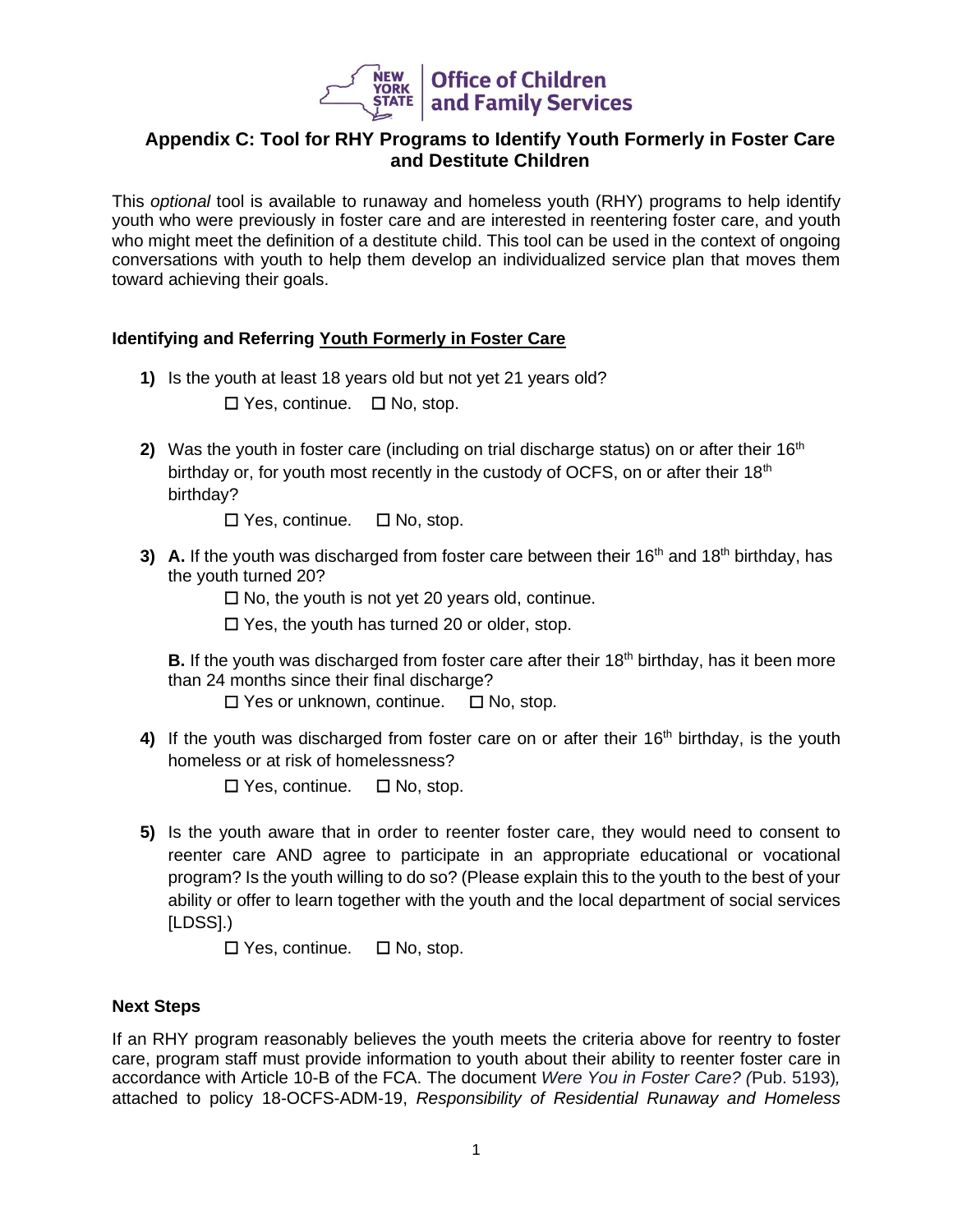

# **Appendix C: Tool for RHY Programs to Identify Youth Formerly in Foster Care and Destitute Children**

This *optional* tool is available to runaway and homeless youth (RHY) programs to help identify youth who were previously in foster care and are interested in reentering foster care, and youth who might meet the definition of a destitute child. This tool can be used in the context of ongoing conversations with youth to help them develop an individualized service plan that moves them toward achieving their goals.

# **Identifying and Referring Youth Formerly in Foster Care**

- **1)** Is the youth at least 18 years old but not yet 21 years old? ☐ Yes, continue.☐ No, stop.
- **2)** Was the youth in foster care (including on trial discharge status) on or after their  $16<sup>th</sup>$ birthday or, for youth most recently in the custody of OCFS, on or after their 18<sup>th</sup> birthday?
	- ☐ Yes, continue. ☐ No, stop.
- **3)** A. If the youth was discharged from foster care between their 16<sup>th</sup> and 18<sup>th</sup> birthday, has the youth turned 20?
	- ☐ No, the youth is not yet 20 years old, continue.
	- ☐ Yes, the youth has turned 20 or older, stop.

**B.** If the youth was discharged from foster care after their 18<sup>th</sup> birthday, has it been more than 24 months since their final discharge?

☐ Yes or unknown, continue. ☐ No, stop.

4) If the youth was discharged from foster care on or after their 16<sup>th</sup> birthday, is the youth homeless or at risk of homelessness?

☐ Yes, continue. ☐ No, stop.

**5)** Is the youth aware that in order to reenter foster care, they would need to consent to reenter care AND agree to participate in an appropriate educational or vocational program? Is the youth willing to do so? (Please explain this to the youth to the best of your ability or offer to learn together with the youth and the local department of social services [LDSS].)

☐ Yes, continue. ☐ No, stop.

# **Next Steps**

If an RHY program reasonably believes the youth meets the criteria above for reentry to foster care, program staff must provide information to youth about their ability to reenter foster care in accordance with Article 10-B of the FCA. The document *Were You in Foster Care? (*Pub. 5193)*,*  attached to policy 18-OCFS-ADM-19, *Responsibility of Residential Runaway and Homeless*